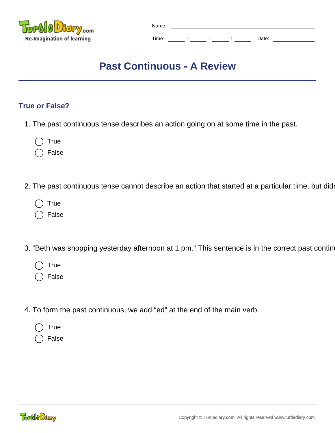

| Name: |  |   |       |  |
|-------|--|---|-------|--|
| Time: |  | - | Date: |  |

# **Past Continuous - A Review**

## **True or False?**

- 1. The past continuous tense describes an action going on at some time in the past.
	- **True**
	- False
- 2. The past continuous tense cannot describe an action that started at a particular time, but didite
	- True
	- False
- 3. "Beth was shopping yesterday afternoon at 1 pm." This sentence is in the correct past contin
	- **True**
	- False
- 4. To form the past continuous, we add "ed" at the end of the main verb.
	- True False

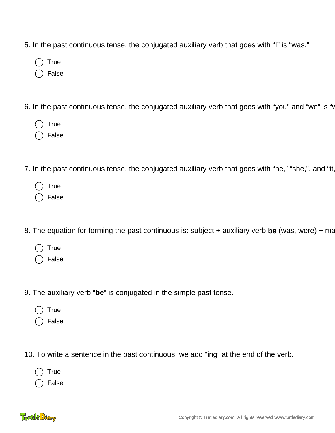- 5. In the past continuous tense, the conjugated auxiliary verb that goes with "I" is "was."
	- True
	- False
- 6. In the past continuous tense, the conjugated auxiliary verb that goes with "you" and "we" is "v
	- True
	- False
- 7. In the past continuous tense, the conjugated auxiliary verb that goes with "he," "she,", and "it,
	- True
	- False
- 8. The equation for forming the past continuous is: subject + auxiliary verb be (was, were) + ma
	- **True**
	- False
- 9. The auxiliary verb "**be**" is conjugated in the simple past tense.
	- **True**
	- False
- 10. To write a sentence in the past continuous, we add "ing" at the end of the verb.
	- True
	- False